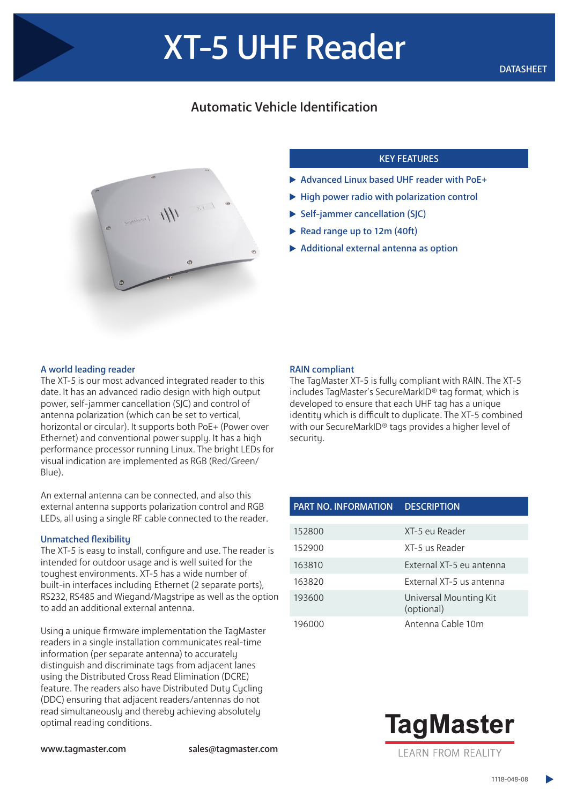# Automatic Vehicle Identification



# KEY FEATURES

- ▶ Advanced Linux based UHF reader with PoE+
- $\blacktriangleright$  High power radio with polarization control
- Self-jammer cancellation (SJC)
- Read range up to 12m (40ft)
- Additional external antenna as option

## A world leading reader

The XT-5 is our most advanced integrated reader to this date. It has an advanced radio design with high output power, self-jammer cancellation (SJC) and control of antenna polarization (which can be set to vertical, horizontal or circular). It supports both PoE+ (Power over Ethernet) and conventional power supply. It has a high performance processor running Linux. The bright LEDs for visual indication are implemented as RGB (Red/Green/ Blue).

An external antenna can be connected, and also this external antenna supports polarization control and RGB LEDs, all using a single RF cable connected to the reader.

#### Unmatched flexibility

The XT-5 is easy to install, configure and use. The reader is intended for outdoor usage and is well suited for the toughest environments. XT-5 has a wide number of built-in interfaces including Ethernet (2 separate ports), RS232, RS485 and Wiegand/Magstripe as well as the option to add an additional external antenna.

Using a unique firmware implementation the TagMaster readers in a single installation communicates real-time information (per separate antenna) to accurately distinguish and discriminate tags from adjacent lanes using the Distributed Cross Read Elimination (DCRE) feature. The readers also have Distributed Duty Cycling (DDC) ensuring that adjacent readers/antennas do not read simultaneously and thereby achieving absolutely optimal reading conditions.

## RAIN compliant

The TagMaster XT-5 is fully compliant with RAIN. The XT-5 includes TagMaster's SecureMarkID® tag format, which is developed to ensure that each UHF tag has a unique identity which is difficult to duplicate. The XT-5 combined with our SecureMarkID® tags provides a higher level of security.

| <b>PART NO. INFORMATION</b> | <b>DESCRIPTION</b>                   |
|-----------------------------|--------------------------------------|
|                             |                                      |
| 152800                      | XT-5 eu Reader                       |
| 152900                      | XT-5 us Reader                       |
| 163810                      | External XT-5 eu antenna             |
| 163820                      | External XT-5 us antenna             |
| 193600                      | Universal Mounting Kit<br>(optional) |
| 196000                      | Antenna Cable 10m                    |



www.tagmaster.com sales@tagmaster.com